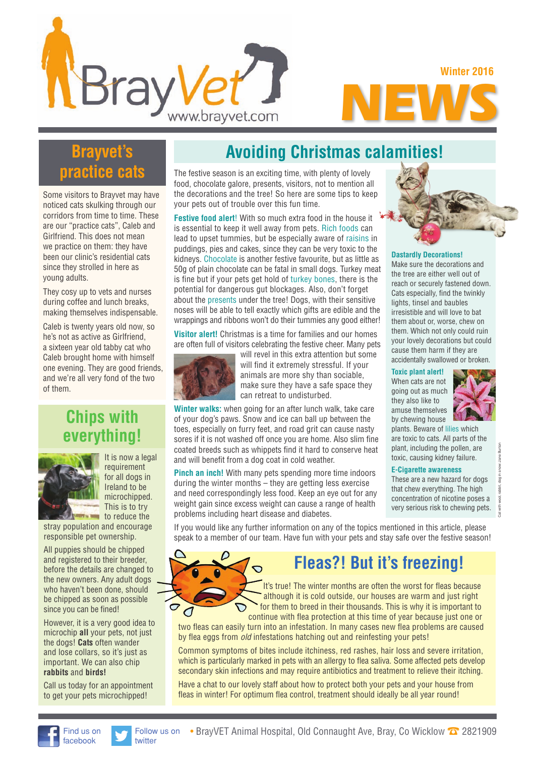**NEWS Winter 2016**

# **Brayvet's practice cats**

**Bray** 

Some visitors to Brayvet may have noticed cats skulking through our corridors from time to time. These are our "practice cats", Caleb and Girlfriend. This does not mean we practice on them: they have been our clinic's residential cats since they strolled in here as young adults.

They cosy up to vets and nurses during coffee and lunch breaks, making themselves indispensable.

Caleb is twenty years old now, so he's not as active as Girlfriend, a sixteen year old tabby cat who Caleb brought home with himself one evening. They are good friends, and we're all very fond of the two of them.

## **Chips with ervthing!**



It is now a legal requirement for all dogs in Ireland to be microchipped. This is to try to reduce the

stray population and encourage responsible pet ownership.

All puppies should be chipped and registered to their breeder, before the details are changed to the new owners. Any adult dogs who haven't been done, should be chipped as soon as possible since you can be fined!

However, it is a very good idea to microchip **all** your pets, not just the dogs! **Cats** often wander and lose collars, so it's just as important. We can also chip **rabbits** and **birds!**

Call us today for an appointment to get your pets microchipped!

# **Avoiding Christmas calamities!**

The festive season is an exciting time, with plenty of lovely food, chocolate galore, presents, visitors, not to mention all the decorations and the tree! So here are some tips to keep your pets out of trouble over this fun time.

www.brayvet.com

**Festive food alert**! With so much extra food in the house it is essential to keep it well away from pets. Rich foods can lead to upset tummies, but be especially aware of raisins in puddings, pies and cakes, since they can be very toxic to the kidneys. Chocolate is another festive favourite, but as little as 50g of plain chocolate can be fatal in small dogs. Turkey meat is fine but if your pets get hold of turkey bones, there is the potential for dangerous gut blockages. Also, don't forget about the presents under the tree! Dogs, with their sensitive noses will be able to tell exactly which gifts are edible and the wrappings and ribbons won't do their tummies any good either!

**Visitor alert!** Christmas is a time for families and our homes are often full of visitors celebrating the festive cheer. Many pets



will revel in this extra attention but some will find it extremely stressful. If your animals are more shy than sociable, make sure they have a safe space they can retreat to undisturbed.

**Winter walks:** when going for an after lunch walk, take care of your dog's paws. Snow and ice can ball up between the toes, especially on furry feet, and road grit can cause nasty sores if it is not washed off once you are home. Also slim fine coated breeds such as whippets find it hard to conserve heat and will benefit from a dog coat in cold weather.

**Pinch an inch!** With many pets spending more time indoors during the winter months – they are getting less exercise and need correspondingly less food. Keep an eye out for any weight gain since excess weight can cause a range of health problems including heart disease and diabetes.



#### **Dastardly Decorations!**

Make sure the decorations and the tree are either well out of reach or securely fastened down. Cats especially, find the twinkly lights, tinsel and baubles irresistible and will love to bat them about or, worse, chew on them. Which not only could ruin your lovely decorations but could cause them harm if they are accidentally swallowed or broken.

#### **Toxic plant alert!**

When cats are not going out as much they also like to amuse themselves by chewing house



Cat with wool, rabbit, dog in snow: Jane Burton

plants. Beware of lilies which are toxic to cats. All parts of the plant, including the pollen, are toxic, causing kidney failure.

### **E-Cigarette awareness**

These are a new hazard for dogs that chew everything. The high concentration of nicotine poses a very serious risk to chewing pets.

If you would like any further information on any of the topics mentioned in this article, please speak to a member of our team. Have fun with your pets and stay safe over the festive season!



# **Fleas?! But it's freezing!**

 It's true! The winter months are often the worst for fleas because although it is cold outside, our houses are warm and just right for them to breed in their thousands. This is why it is important to continue with flea protection at this time of year because just one or

two fleas can easily turn into an infestation. In many cases new flea problems are caused by flea eggs from *old* infestations hatching out and reinfesting your pets!

Common symptoms of bites include itchiness, red rashes, hair loss and severe irritation, which is particularly marked in pets with an allergy to flea saliva. Some affected pets develop secondary skin infections and may require antibiotics and treatment to relieve their itching.

Have a chat to our lovely staff about how to protect both your pets and your house from fleas in winter! For optimum flea control, treatment should ideally be all year round!